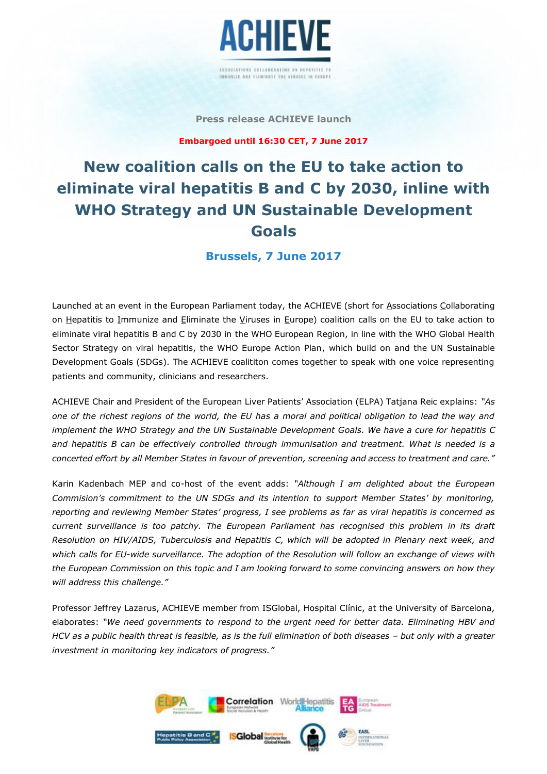

#### **Press release ACHIEVE launch**

**Embargoed until 16:30 CET, 7 June 2017**

# **New coalition calls on the EU to take action to eliminate viral hepatitis B and C by 2030, inline with WHO Strategy and UN Sustainable Development Goals**

**Brussels, 7 June 2017**

Launched at an event in the European Parliament today, the ACHIEVE (short for Associations Collaborating on Hepatitis to Immunize and Eliminate the Viruses in Europe) coalition calls on the EU to take action to eliminate viral hepatitis B and C by 2030 in the WHO European Region, in line with the WHO Global Health Sector Strategy on viral hepatitis, the WHO Europe Action Plan, which build on and the UN Sustainable Development Goals (SDGs). The ACHIEVE coalititon comes together to speak with one voice representing patients and community, clinicians and researchers.

ACHIEVE Chair and President of the European Liver Patients' Association (ELPA) Tatjana Reic explains: *"As one of the richest regions of the world, the EU has a moral and political obligation to lead the way and implement the WHO Strategy and the UN Sustainable Development Goals. We have a cure for hepatitis C and hepatitis B can be effectively controlled through immunisation and treatment. What is needed is a concerted effort by all Member States in favour of prevention, screening and access to treatment and care."*

Karin Kadenbach MEP and co-host of the event adds: *"Although I am delighted about the European Commision's commitment to the UN SDGs and its intention to support Member States' by monitoring, reporting and reviewing Member States' progress, I see problems as far as viral hepatitis is concerned as current surveillance is too patchy. The European Parliament has recognised this problem in its draft Resolution on HIV/AIDS, Tuberculosis and Hepatitis C, which will be adopted in Plenary next week, and which calls for EU-wide surveillance. The adoption of the Resolution will follow an exchange of views with the European Commission on this topic and I am looking forward to some convincing answers on how they will address this challenge."*

Professor Jeffrey Lazarus, ACHIEVE member from ISGlobal, Hospital Clínic, at the University of Barcelona, elaborates: *"We need governments to respond to the urgent need for better data. Eliminating HBV and HCV as a public health threat is feasible, as is the full elimination of both diseases - but only with a greater investment in monitoring key indicators of progress."*